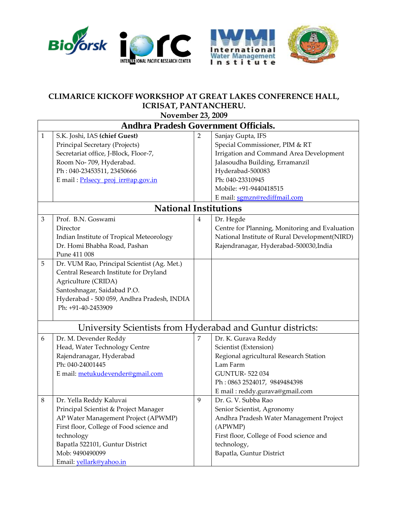





## **CLIMARICE KICKOFF WORKSHOP AT GREAT LAKES CONFERENCE HALL, ICRISAT, PANTANCHERU.**

**November 23, 2009**

| <b>Andhra Pradesh Government Officials.</b>                |                                                                                                                                                                                                                                                    |                |                                                                                                                                                                                                                                     |  |  |  |  |
|------------------------------------------------------------|----------------------------------------------------------------------------------------------------------------------------------------------------------------------------------------------------------------------------------------------------|----------------|-------------------------------------------------------------------------------------------------------------------------------------------------------------------------------------------------------------------------------------|--|--|--|--|
| $\mathbf{1}$                                               | S.K. Joshi, IAS (chief Guest)<br>Principal Secretary (Projects)<br>Secretariat office, J-Block, Floor-7,<br>Room No-709, Hyderabad.<br>Ph: 040-23453511, 23450666<br>E mail: Prlsecy_proj_irr@ap.gov.in                                            | $\overline{2}$ | Sanjay Gupta, IFS<br>Special Commissioner, PIM & RT<br>Irrigation and Command Area Development<br>Jalasoudha Building, Erramanzil<br>Hyderabad-500083<br>Ph: 040-23310945<br>Mobile: +91-9440418515<br>E mail: sgmzn@rediffmail.com |  |  |  |  |
|                                                            | <b>National Institutions</b>                                                                                                                                                                                                                       |                |                                                                                                                                                                                                                                     |  |  |  |  |
| $\mathfrak{Z}$                                             | Prof. B.N. Goswami<br>Director<br>Indian Institute of Tropical Meteorology<br>Dr. Homi Bhabha Road, Pashan<br>Pune 411 008                                                                                                                         | $\overline{4}$ | Dr. Hegde<br>Centre for Planning, Monitoring and Evaluation<br>National Institute of Rural Development(NIRD)<br>Rajendranagar, Hyderabad-500030, India                                                                              |  |  |  |  |
| $\overline{5}$                                             | Dr. VUM Rao, Principal Scientist (Ag. Met.)<br>Central Research Institute for Dryland<br>Agriculture (CRIDA)<br>Santoshnagar, Saidabad P.O.<br>Hyderabad - 500 059, Andhra Pradesh, INDIA<br>Ph: +91-40-2453909                                    |                |                                                                                                                                                                                                                                     |  |  |  |  |
| University Scientists from Hyderabad and Guntur districts: |                                                                                                                                                                                                                                                    |                |                                                                                                                                                                                                                                     |  |  |  |  |
| 6                                                          | Dr. M. Devender Reddy<br>Head, Water Technology Centre<br>Rajendranagar, Hyderabad<br>Ph: 040-24001445<br>E mail: metukudevender@gmail.com                                                                                                         | 7              | Dr. K. Gurava Reddy<br>Scientist (Extension)<br>Regional agricultural Research Station<br>Lam Farm<br><b>GUNTUR-522034</b><br>Ph: 0863 2524017, 9849484398<br>E mail: reddy.gurava@gmail.com                                        |  |  |  |  |
| $\,8\,$                                                    | Dr. Yella Reddy Kaluvai<br>Principal Scientist & Project Manager<br>AP Water Management Project (APWMP)<br>First floor, College of Food science and<br>technology<br>Bapatla 522101, Guntur District<br>Mob: 9490490099<br>Email: yellark@yahoo.in | 9              | Dr. G. V. Subba Rao<br>Senior Scientist, Agronomy<br>Andhra Pradesh Water Management Project<br>(APWMP)<br>First floor, College of Food science and<br>technology,<br>Bapatla, Guntur District                                      |  |  |  |  |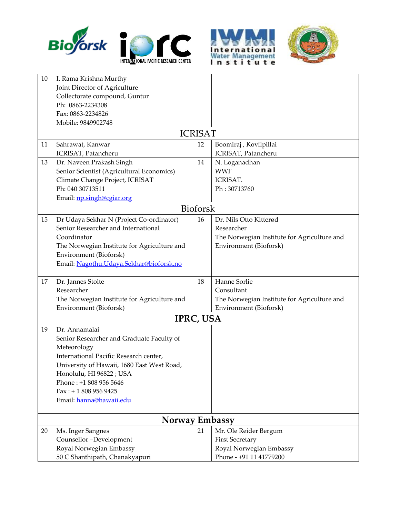





| 10 | I. Rama Krishna Murthy                      |                 |                                             |  |  |  |  |  |
|----|---------------------------------------------|-----------------|---------------------------------------------|--|--|--|--|--|
|    | Joint Director of Agriculture               |                 |                                             |  |  |  |  |  |
|    | Collectorate compound, Guntur               |                 |                                             |  |  |  |  |  |
|    | Ph: 0863-2234308                            |                 |                                             |  |  |  |  |  |
|    | Fax: 0863-2234826                           |                 |                                             |  |  |  |  |  |
|    | Mobile: 9849902748                          |                 |                                             |  |  |  |  |  |
|    | <b>ICRISAT</b>                              |                 |                                             |  |  |  |  |  |
| 11 | Sahrawat, Kanwar                            | 12              | Boomiraj, Kovilpillai                       |  |  |  |  |  |
|    | ICRISAT, Patancheru                         |                 | ICRISAT, Patancheru                         |  |  |  |  |  |
| 13 | Dr. Naveen Prakash Singh                    | 14              | N. Loganadhan                               |  |  |  |  |  |
|    | Senior Scientist (Agricultural Economics)   |                 | <b>WWF</b>                                  |  |  |  |  |  |
|    | Climate Change Project, ICRISAT             |                 | ICRISAT.                                    |  |  |  |  |  |
|    | Ph: 040 30713511                            |                 | Ph: 30713760                                |  |  |  |  |  |
|    | Email: np.singh@cgiar.org                   |                 |                                             |  |  |  |  |  |
|    |                                             | <b>Bioforsk</b> |                                             |  |  |  |  |  |
| 15 | Dr Udaya Sekhar N (Project Co-ordinator)    | 16              | Dr. Nils Otto Kitterød                      |  |  |  |  |  |
|    | Senior Researcher and International         |                 | Researcher                                  |  |  |  |  |  |
|    | Coordinator                                 |                 | The Norwegian Institute for Agriculture and |  |  |  |  |  |
|    | The Norwegian Institute for Agriculture and |                 | Environment (Bioforsk)                      |  |  |  |  |  |
|    | Environment (Bioforsk)                      |                 |                                             |  |  |  |  |  |
|    | Email: Nagothu. Udaya. Sekhar@bioforsk.no   |                 |                                             |  |  |  |  |  |
|    |                                             |                 |                                             |  |  |  |  |  |
| 17 | Dr. Jannes Stolte                           | 18              | Hanne Sorlie                                |  |  |  |  |  |
|    | Researcher                                  |                 | Consultant                                  |  |  |  |  |  |
|    | The Norwegian Institute for Agriculture and |                 | The Norwegian Institute for Agriculture and |  |  |  |  |  |
|    | Environment (Bioforsk)                      |                 | Environment (Bioforsk)                      |  |  |  |  |  |
|    | IPRC, USA                                   |                 |                                             |  |  |  |  |  |
| 19 | Dr. Annamalai                               |                 |                                             |  |  |  |  |  |
|    | Senior Researcher and Graduate Faculty of   |                 |                                             |  |  |  |  |  |
|    | Meteorology                                 |                 |                                             |  |  |  |  |  |
|    | International Pacific Research center,      |                 |                                             |  |  |  |  |  |
|    | University of Hawaii, 1680 East West Road,  |                 |                                             |  |  |  |  |  |
|    | Honolulu, HI 96822 ; USA                    |                 |                                             |  |  |  |  |  |
|    | Phone: +1 808 956 5646                      |                 |                                             |  |  |  |  |  |
|    | $Fax: + 18089569425$                        |                 |                                             |  |  |  |  |  |
|    | Email: hanna@hawaii.edu                     |                 |                                             |  |  |  |  |  |
|    | Norway Embassy                              |                 |                                             |  |  |  |  |  |
| 20 | Ms. Inger Sangnes                           | 21              | Mr. Ole Reider Bergum                       |  |  |  |  |  |
|    | Counsellor-Development                      |                 | <b>First Secretary</b>                      |  |  |  |  |  |
|    | Royal Norwegian Embassy                     |                 | Royal Norwegian Embassy                     |  |  |  |  |  |
|    | 50 C Shanthipath, Chanakyapuri              |                 | Phone - +91 11 41779200                     |  |  |  |  |  |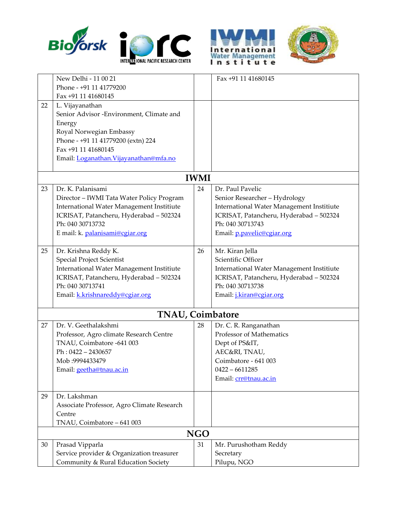





|    | New Delhi - 11 00 21                       |    | Fax +91 11 41680145                              |  |  |  |  |
|----|--------------------------------------------|----|--------------------------------------------------|--|--|--|--|
|    | Phone - +91 11 41779200                    |    |                                                  |  |  |  |  |
|    | Fax +91 11 41680145                        |    |                                                  |  |  |  |  |
| 22 | L. Vijayanathan                            |    |                                                  |  |  |  |  |
|    | Senior Advisor -Environment, Climate and   |    |                                                  |  |  |  |  |
|    | Energy                                     |    |                                                  |  |  |  |  |
|    | Royal Norwegian Embassy                    |    |                                                  |  |  |  |  |
|    | Phone - +91 11 41779200 (extn) 224         |    |                                                  |  |  |  |  |
|    | Fax +91 11 41680145                        |    |                                                  |  |  |  |  |
|    | Email: Loganathan. Vijayanathan@mfa.no     |    |                                                  |  |  |  |  |
|    | <b>IWMI</b>                                |    |                                                  |  |  |  |  |
| 23 | Dr. K. Palanisami                          | 24 | Dr. Paul Pavelic                                 |  |  |  |  |
|    | Director - IWMI Tata Water Policy Program  |    | Senior Researcher - Hydrology                    |  |  |  |  |
|    | International Water Management Institiute  |    | International Water Management Institiute        |  |  |  |  |
|    | ICRISAT, Patancheru, Hyderabad - 502324    |    | ICRISAT, Patancheru, Hyderabad - 502324          |  |  |  |  |
|    | Ph: 040 30713732                           |    | Ph: 040 30713743                                 |  |  |  |  |
|    | E mail: k. palanisami@cgiar.org            |    | Email: p.pavelic@cgiar.org                       |  |  |  |  |
|    |                                            |    |                                                  |  |  |  |  |
| 25 | Dr. Krishna Reddy K.                       | 26 | Mr. Kiran Jella                                  |  |  |  |  |
|    | <b>Special Project Scientist</b>           |    | Scientific Officer                               |  |  |  |  |
|    | International Water Management Institiute  |    | <b>International Water Management Institiute</b> |  |  |  |  |
|    | ICRISAT, Patancheru, Hyderabad - 502324    |    | ICRISAT, Patancheru, Hyderabad - 502324          |  |  |  |  |
|    | Ph: 040 30713741                           |    | Ph: 040 30713738                                 |  |  |  |  |
|    | Email: k.krishnareddy@cgiar.org            |    | Email: <i>j.kiran@cgiar.org</i>                  |  |  |  |  |
|    | <b>TNAU, Coimbatore</b>                    |    |                                                  |  |  |  |  |
| 27 | Dr. V. Geethalakshmi                       | 28 | Dr. C. R. Ranganathan                            |  |  |  |  |
|    | Professor, Agro climate Research Centre    |    | Professor of Mathematics                         |  |  |  |  |
|    | TNAU, Coimbatore -641 003                  |    | Dept of PS&IT,                                   |  |  |  |  |
|    | $Ph: 0422 - 2430657$                       |    | AEC&RI, TNAU,                                    |  |  |  |  |
|    | Mob: 9994433479                            |    | Coimbatore - 641 003                             |  |  |  |  |
|    | Email: geetha@tnau.ac.in                   |    | $0422 - 6611285$                                 |  |  |  |  |
|    |                                            |    | Email: crr@tnau.ac.in                            |  |  |  |  |
| 29 | Dr. Lakshman                               |    |                                                  |  |  |  |  |
|    | Associate Professor, Agro Climate Research |    |                                                  |  |  |  |  |
|    | Centre                                     |    |                                                  |  |  |  |  |
|    | TNAU, Coimbatore - 641 003                 |    |                                                  |  |  |  |  |
|    | <b>NGO</b>                                 |    |                                                  |  |  |  |  |
| 30 | Prasad Vipparla                            | 31 | Mr. Purushotham Reddy                            |  |  |  |  |
|    | Service provider & Organization treasurer  |    | Secretary                                        |  |  |  |  |
|    | Community & Rural Education Society        |    | Pilupu, NGO                                      |  |  |  |  |